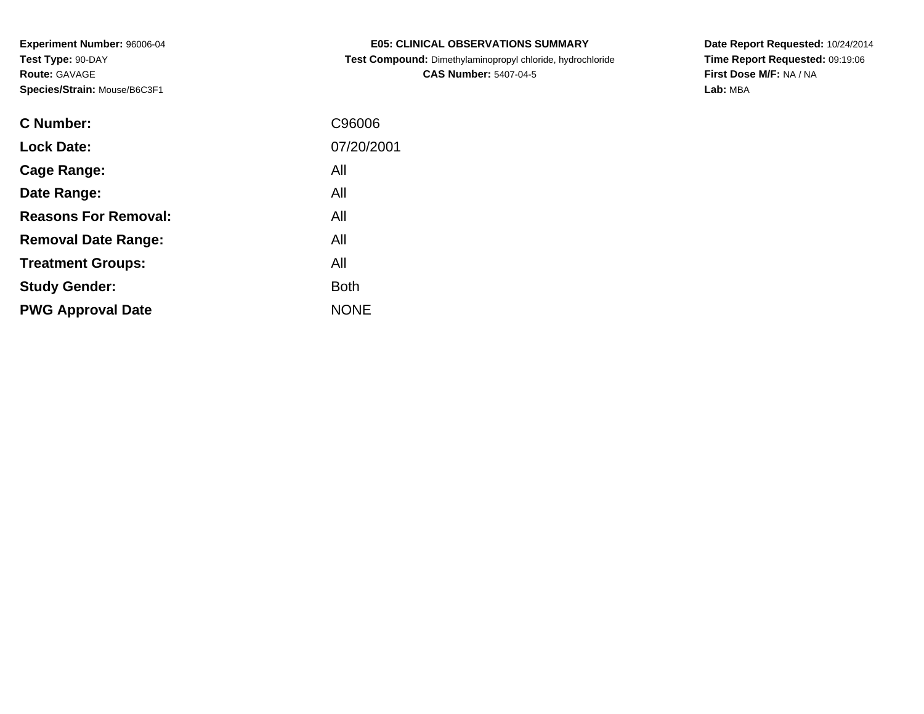**C Number:**

|           |              | <b>CAS Number: 5407-04-5</b> |
|-----------|--------------|------------------------------|
| se/B6C3F1 |              |                              |
|           |              |                              |
|           | C96006       |                              |
|           | 07/20/2001   |                              |
|           | All          |                              |
|           | $\mathbf{A}$ |                              |

**E05: CLINICAL OBSERVATIONS SUMMARYTest Compound:** Dimethylaminopropyl chloride, hydrochloride **Date Report Requested:** 10/24/2014 **Time Report Requested:** 09:19:06**First Dose M/F:** NA / NA**Lab:** MBA

| <b>C</b> Number:            | C96006      |
|-----------------------------|-------------|
| <b>Lock Date:</b>           | 07/20/2001  |
| Cage Range:                 | All         |
| Date Range:                 | All         |
| <b>Reasons For Removal:</b> | All         |
| <b>Removal Date Range:</b>  | All         |
| <b>Treatment Groups:</b>    | All         |
| <b>Study Gender:</b>        | <b>Both</b> |
| <b>PWG Approval Date</b>    | <b>NONE</b> |
|                             |             |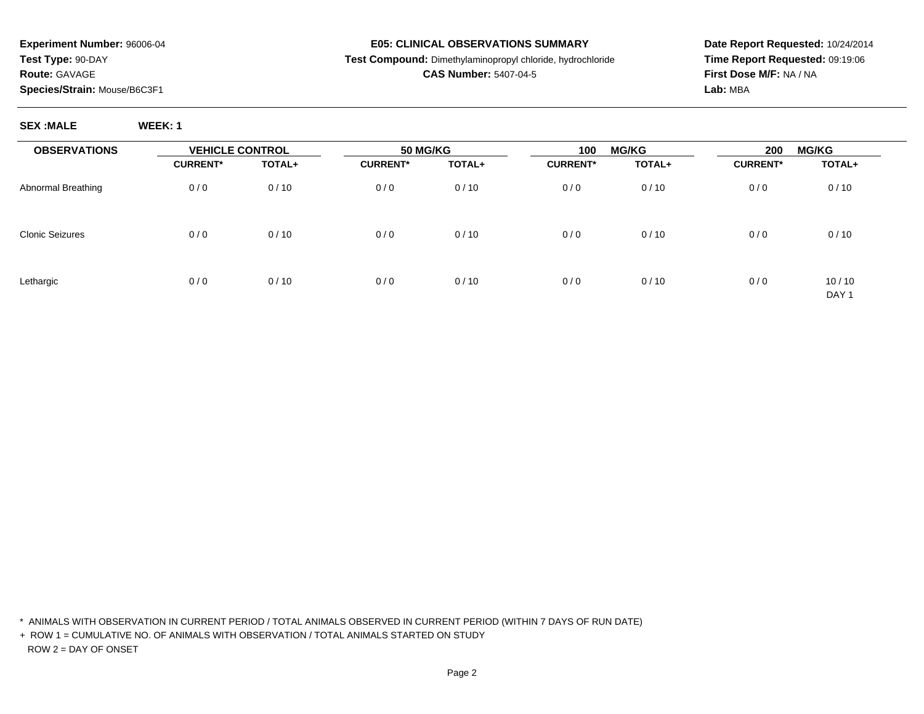**SEX :MALE WEEK: 1**

#### **E05: CLINICAL OBSERVATIONS SUMMARY**

### **Test Compound:** Dimethylaminopropyl chloride, hydrochloride

## **CAS Number:** 5407-04-5

**Date Report Requested:** 10/24/2014**Time Report Requested:** 09:19:06**First Dose M/F:** NA / NA**Lab:** MBA

| <b>OBSERVATIONS</b>    | <b>VEHICLE CONTROL</b> |        | <b>50 MG/KG</b> |        | <b>MG/KG</b><br>100 |        | 200<br><b>MG/KG</b> |                           |
|------------------------|------------------------|--------|-----------------|--------|---------------------|--------|---------------------|---------------------------|
|                        | <b>CURRENT*</b>        | TOTAL+ | <b>CURRENT*</b> | TOTAL+ | <b>CURRENT*</b>     | TOTAL+ | <b>CURRENT*</b>     | TOTAL+                    |
| Abnormal Breathing     | 0/0                    | 0/10   | 0/0             | 0/10   | 0/0                 | 0/10   | 0/0                 | 0/10                      |
| <b>Clonic Seizures</b> | 0/0                    | 0/10   | 0/0             | 0/10   | 0/0                 | 0/10   | 0/0                 | 0/10                      |
| Lethargic              | 0/0                    | 0/10   | 0/0             | 0/10   | 0/0                 | 0/10   | 0/0                 | 10/10<br>DAY <sub>1</sub> |

\* ANIMALS WITH OBSERVATION IN CURRENT PERIOD / TOTAL ANIMALS OBSERVED IN CURRENT PERIOD (WITHIN 7 DAYS OF RUN DATE)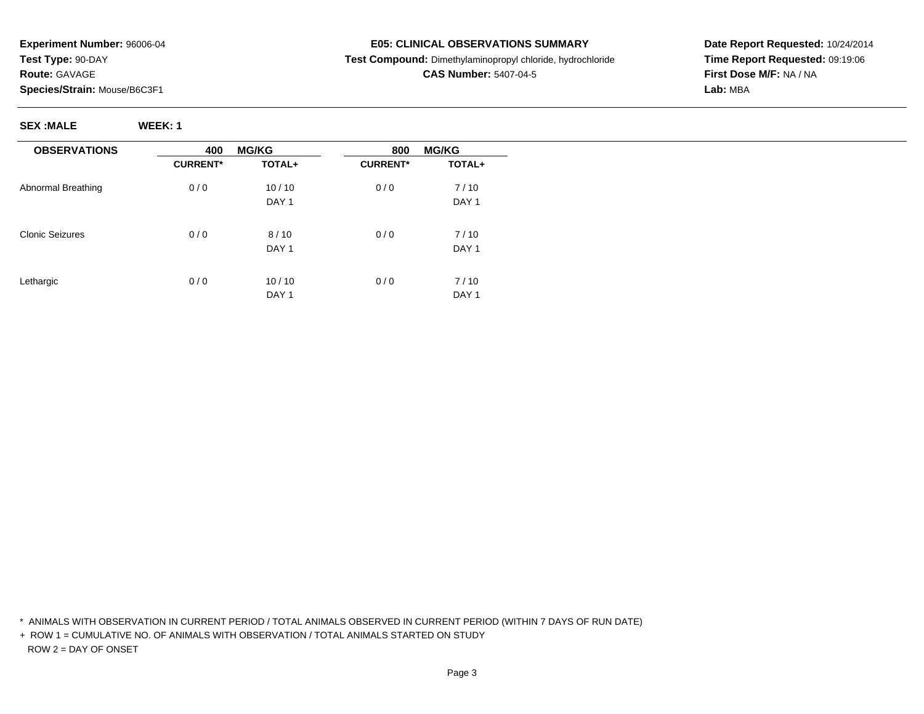**SEX :MALE WEEK: 1**

## **E05: CLINICAL OBSERVATIONS SUMMARY**

**Test Compound:** Dimethylaminopropyl chloride, hydrochloride

**CAS Number:** 5407-04-5

**Date Report Requested:** 10/24/2014**Time Report Requested:** 09:19:06**First Dose M/F:** NA / NA**Lab:** MBA

**OBSERVATIONS**Abnormal BreathingClonic SeizuresLethargic**400 MG/KG TOTAL+CURRENT\***0 / 0 10 / 10 DAY 10 / 0 8 / 10 DAY 1 $0/0$  $10/10$ DAY 1**800 MG/KG TOTAL+CURRENT\***0 / 0 7 / 10 DAY 10 / 0 7 / 10 DAY 1 $0/0$  7 / 10 DAY<sub>1</sub>

\* ANIMALS WITH OBSERVATION IN CURRENT PERIOD / TOTAL ANIMALS OBSERVED IN CURRENT PERIOD (WITHIN 7 DAYS OF RUN DATE)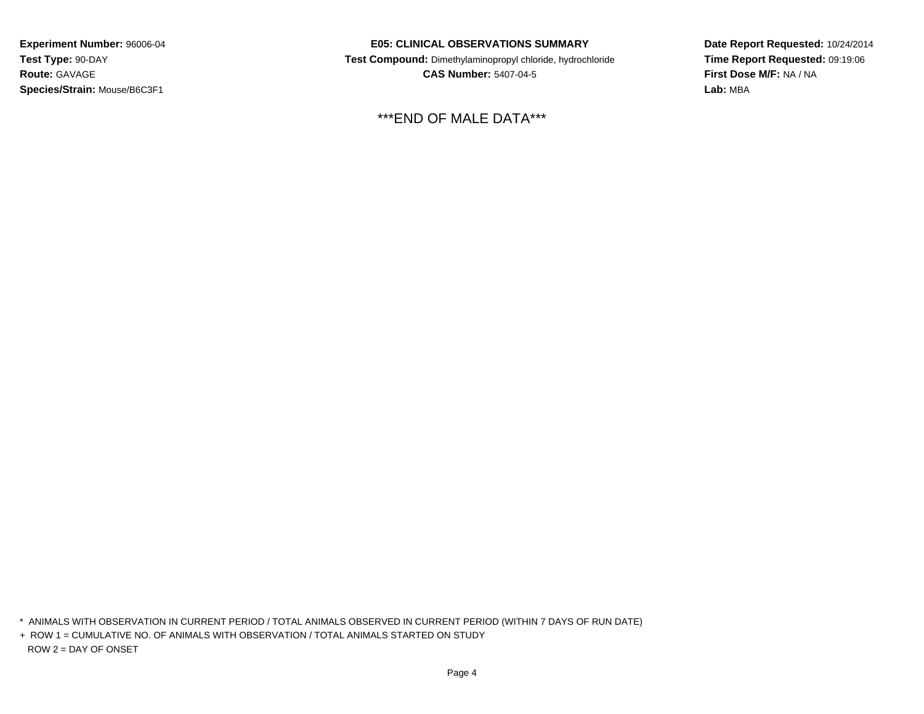### **E05: CLINICAL OBSERVATIONS SUMMARY**

 **Test Compound:** Dimethylaminopropyl chloride, hydrochloride**CAS Number:** 5407-04-5

\*\*\*END OF MALE DATA\*\*\*

**Date Report Requested:** 10/24/2014**Time Report Requested:** 09:19:06**First Dose M/F:** NA / NA**Lab:** MBA

\* ANIMALS WITH OBSERVATION IN CURRENT PERIOD / TOTAL ANIMALS OBSERVED IN CURRENT PERIOD (WITHIN 7 DAYS OF RUN DATE)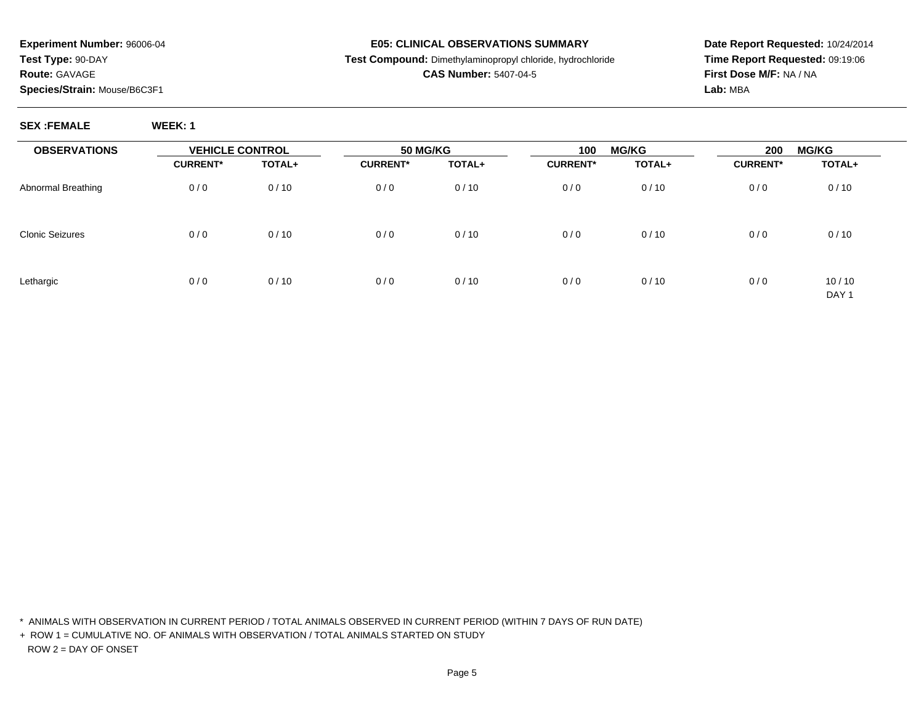**SEX :FEMALE WEEK: 1**

#### **E05: CLINICAL OBSERVATIONS SUMMARY**

### **Test Compound:** Dimethylaminopropyl chloride, hydrochloride

## **CAS Number:** 5407-04-5

**Date Report Requested:** 10/24/2014**Time Report Requested:** 09:19:06**First Dose M/F:** NA / NA**Lab:** MBA

| <b>OBSERVATIONS</b>    | <b>VEHICLE CONTROL</b> |        | 50 MG/KG        |               | <b>MG/KG</b><br>100 |        | <b>MG/KG</b><br>200 |                           |
|------------------------|------------------------|--------|-----------------|---------------|---------------------|--------|---------------------|---------------------------|
|                        | <b>CURRENT*</b>        | TOTAL+ | <b>CURRENT*</b> | <b>TOTAL+</b> | <b>CURRENT*</b>     | TOTAL+ | <b>CURRENT*</b>     | TOTAL+                    |
| Abnormal Breathing     | 0/0                    | 0/10   | 0/0             | 0/10          | 0/0                 | 0/10   | 0/0                 | 0/10                      |
| <b>Clonic Seizures</b> | 0/0                    | 0/10   | 0/0             | 0/10          | 0/0                 | 0/10   | 0/0                 | 0/10                      |
| Lethargic              | 0/0                    | 0/10   | 0/0             | 0/10          | 0/0                 | 0/10   | 0/0                 | 10/10<br>DAY <sub>1</sub> |

\* ANIMALS WITH OBSERVATION IN CURRENT PERIOD / TOTAL ANIMALS OBSERVED IN CURRENT PERIOD (WITHIN 7 DAYS OF RUN DATE)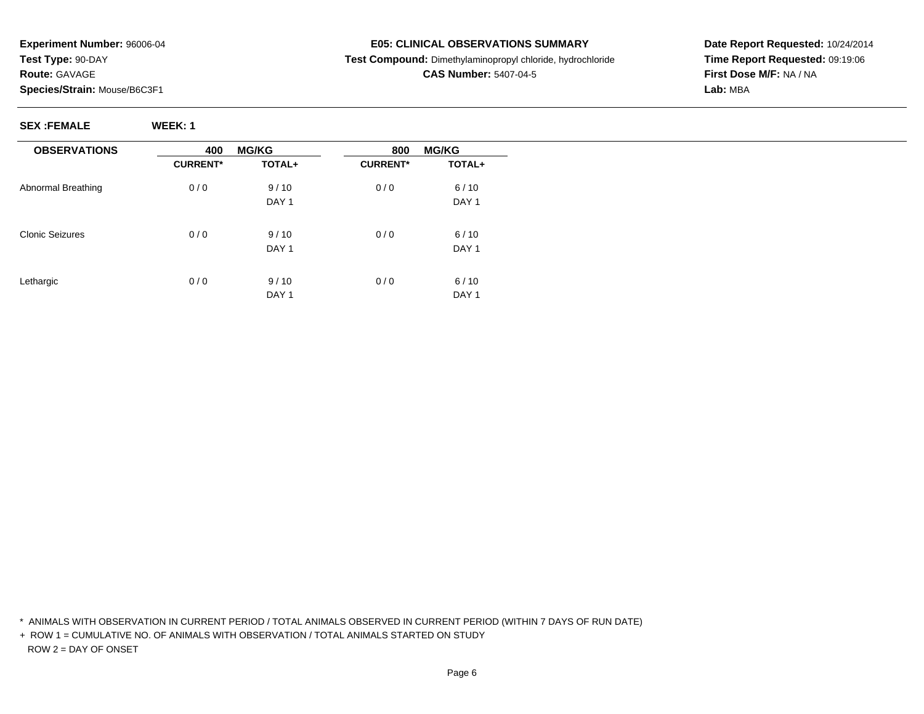## **E05: CLINICAL OBSERVATIONS SUMMARY**

**Test Compound:** Dimethylaminopropyl chloride, hydrochloride

## **CAS Number:** 5407-04-5

**Date Report Requested:** 10/24/2014**Time Report Requested:** 09:19:06**First Dose M/F:** NA / NA**Lab:** MBA

**SEX :FEMALE WEEK: 1**

| <b>OBSERVATIONS</b>    | 400             | <b>MG/KG</b>     | <b>MG/KG</b><br>800 |                  |  |
|------------------------|-----------------|------------------|---------------------|------------------|--|
|                        | <b>CURRENT*</b> | TOTAL+           | <b>CURRENT*</b>     | TOTAL+           |  |
| Abnormal Breathing     | 0/0             | 9/10             | 0/0                 | 6/10             |  |
|                        |                 | DAY <sub>1</sub> |                     | DAY <sub>1</sub> |  |
|                        |                 |                  |                     |                  |  |
| <b>Clonic Seizures</b> | 0/0             | 9/10             | 0/0                 | 6/10             |  |
|                        |                 | DAY <sub>1</sub> |                     | DAY <sub>1</sub> |  |
| Lethargic              | 0/0             | 9/10             | 0/0                 | 6/10             |  |
|                        |                 | DAY 1            |                     | DAY <sub>1</sub> |  |

\* ANIMALS WITH OBSERVATION IN CURRENT PERIOD / TOTAL ANIMALS OBSERVED IN CURRENT PERIOD (WITHIN 7 DAYS OF RUN DATE)